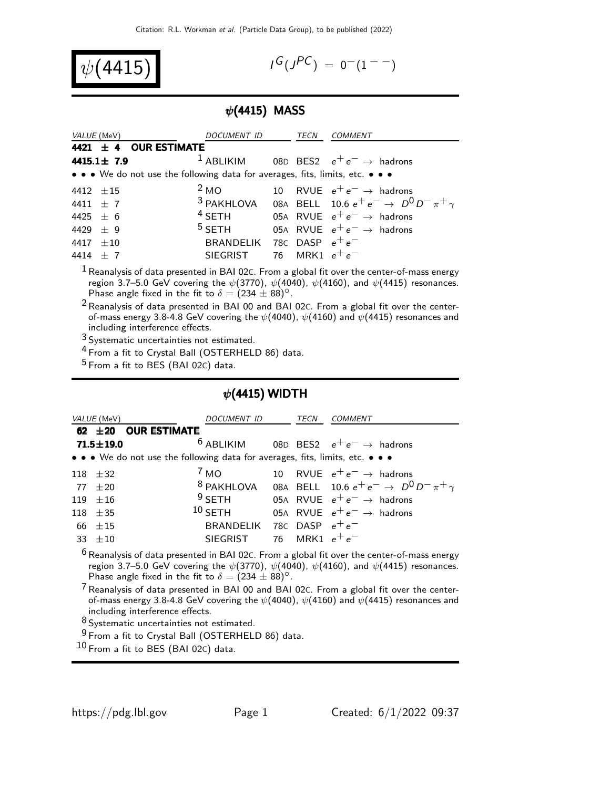$$
\psi(4415)
$$

$$
I^G(J^{PC}) = 0^-(1^{--})
$$

## $\psi$ (4415) MASS

| <i>VALUE</i> (MeV)                                                            | DOCUMENT ID                 | TECN | <i>COMMENT</i>                                                              |
|-------------------------------------------------------------------------------|-----------------------------|------|-----------------------------------------------------------------------------|
| 4421 ± 4 OUR ESTIMATE                                                         |                             |      |                                                                             |
| $4415.1 \pm 7.9$                                                              |                             |      | <sup>1</sup> ABLIKIM 08D BES2 $e^+e^- \rightarrow$ hadrons                  |
| • • • We do not use the following data for averages, fits, limits, etc. • • • |                             |      |                                                                             |
| 4412 $\pm 15$                                                                 |                             |      | <sup>2</sup> MO 10 RVUE $e^+e^- \rightarrow$ hadrons                        |
| 4411 $\pm$ 7                                                                  |                             |      | <sup>3</sup> PAKHLOVA 08A BELL 10.6 $e^+e^ \rightarrow$ $D^0D^-\pi^+\gamma$ |
| 4425 $\pm$ 6                                                                  |                             |      | <sup>4</sup> SETH 05A RVUE $e^+e^- \rightarrow$ hadrons                     |
| 4429 $\pm$ 9                                                                  |                             |      | <sup>5</sup> SETH 05A RVUE $e^+e^- \rightarrow$ hadrons                     |
| 4417 $\pm 10$                                                                 | BRANDELIK 78C DASP $e^+e^-$ |      |                                                                             |
| 4414 $\pm$ 7                                                                  | SIEGRIST 76 MRK1 $e^+e^-$   |      |                                                                             |
|                                                                               |                             |      |                                                                             |

 $1$  Reanalysis of data presented in BAI 02C. From a global fit over the center-of-mass energy region 3.7–5.0 GeV covering the  $\psi(3770)$ ,  $\psi(4040)$ ,  $\psi(4160)$ , and  $\psi(4415)$  resonances. Phase angle fixed in the fit to  $\delta = (234 \pm 88)^{\circ}$ .

2 Reanalysis of data presented in BAI 00 and BAI 02C. From a global fit over the centerof-mass energy 3.8-4.8 GeV covering the  $\psi$ (4040),  $\psi$ (4160) and  $\psi$ (4415) resonances and including interference effects.

3 Systematic uncertainties not estimated.

4 From a fit to Crystal Ball (OSTERHELD 86) data.

 $5$  From a fit to BES (BAI 02C) data.

## $\psi$ (4415) WIDTH

| VALUE (MeV)     |                          | DOCUMENT ID                                                                   | TECN             | <i>COMMENT</i>                                                                                                                                                                                              |
|-----------------|--------------------------|-------------------------------------------------------------------------------|------------------|-------------------------------------------------------------------------------------------------------------------------------------------------------------------------------------------------------------|
|                 | 62 $\pm$ 20 OUR ESTIMATE |                                                                               |                  |                                                                                                                                                                                                             |
| $71.5 \pm 19.0$ |                          | $6$ ABLIKIM                                                                   |                  | 08D BES2 $e^+e^- \rightarrow$ hadrons                                                                                                                                                                       |
|                 |                          | • • • We do not use the following data for averages, fits, limits, etc. • • • |                  |                                                                                                                                                                                                             |
| $118 + 32$      |                          | $^{\prime}$ MO                                                                |                  | 10 RVUE $e^+e^- \rightarrow$ hadrons                                                                                                                                                                        |
| $77 + 20$       |                          | <sup>8</sup> PAKHLOVA                                                         |                  | 08A BELL 10.6 $e^+e^- \to D^0 D^- \pi^+ \gamma$                                                                                                                                                             |
| $119 + 16$      |                          | $9$ SETH                                                                      |                  | 05A RVUE $e^+e^- \rightarrow$ hadrons                                                                                                                                                                       |
| $118 + 35$      |                          | $10$ SETH                                                                     |                  | 05A RVUE $e^+e^- \rightarrow$ hadrons                                                                                                                                                                       |
| $66 + 15$       |                          | BRANDELIK 78C DASP $e^+e^-$                                                   |                  |                                                                                                                                                                                                             |
| $33 + 10$       |                          | <b>SIEGRIST</b>                                                               | 76 MRK1 $e^+e^-$ |                                                                                                                                                                                                             |
|                 |                          | Phase angle fixed in the fit to $\delta = (234 \pm 88)^{\circ}$ .             |                  | $6$ Reanalysis of data presented in BAI 02C. From a global fit over the center-of-mass energy<br>region 3.7–5.0 GeV covering the $\psi$ (3770), $\psi$ (4040), $\psi$ (4160), and $\psi$ (4415) resonances. |

 $7$  Reanalysis of data presented in BAI 00 and BAI 02 $c$ . From a global fit over the centerof-mass energy 3.8-4.8 GeV covering the  $\psi$ (4040),  $\psi$ (4160) and  $\psi$ (4415) resonances and including interference effects.

8 Systematic uncertainties not estimated.

9 From a fit to Crystal Ball (OSTERHELD 86) data.

 $10$  From a fit to BES (BAI 02C) data.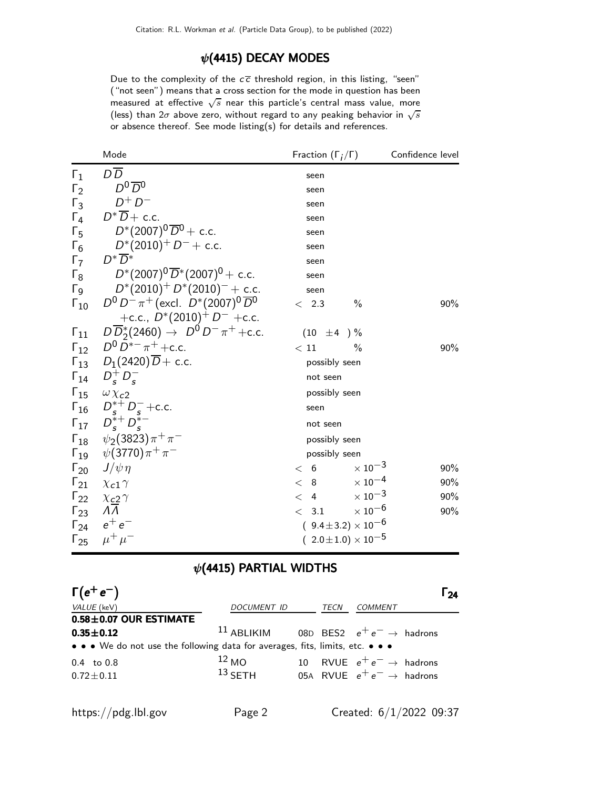### $\psi$ (4415) DECAY MODES

Due to the complexity of the  $c\overline{c}$  threshold region, in this listing, "seen" ("not seen") means that a cross section for the mode in question has been measured at effective  $\sqrt{s}$  near this particle's central mass value, more (less) than  $2\sigma$  above zero, without regard to any peaking behavior in  $\sqrt{s}$ or absence thereof. See mode listing(s) for details and references.

|                       | Mode                                                  | Fraction $(\Gamma_i/\Gamma)$     | Confidence level |
|-----------------------|-------------------------------------------------------|----------------------------------|------------------|
| $\Gamma_1$            | $D\overline{D}$                                       | seen                             |                  |
| $\Gamma_2$            | $D^0\overline{D}^0$                                   | seen                             |                  |
| $\Gamma_3$            | $D^+D^-$                                              | seen                             |                  |
| $\Gamma_4$            | $D^*\overline{D}$ + c.c.                              | seen                             |                  |
| $\Gamma_5$            | $D^*(2007)^0\,\overline{D}{}^0+$ c.c.                 | seen                             |                  |
| $\Gamma_6$            | $D^*(2010)^+$ $D^-$ + c.c.                            | seen                             |                  |
| $\Gamma_7$            | $D^*\overline{D}{}^*$                                 | seen                             |                  |
| $\Gamma_8$            | $D^*(2007)^0\,\overline{D}{}^*(2007)^0+$ c.c.         | seen                             |                  |
| $\Gamma$ <sub>9</sub> | $D^*(2010)^+ D^*(2010)^- +$ c.c.                      | seen                             |                  |
| $\Gamma_{10}$         | $D^0 D^- \pi^+$ (excl. $D^*(2007)^0 \overline{D}{}^0$ | $\%$<br>< 2.3                    | 90%              |
|                       | +c.c., $D^*(2010)^+ D^-$ +c.c.                        |                                  |                  |
| $\Gamma_{11}$         | $D\overline{D}_2^*(2460) \to D^0 D^- \pi^+ + c.c.$    | $(10 \pm 4) \%$                  |                  |
|                       | $\Gamma_{12}$ $D^0 D^{*-} \pi^+$ + c.c.               | < 11<br>$\frac{0}{0}$            | 90%              |
|                       | $\Gamma_{13}$ $D_1(2420)\overline{D}$ + c.c.          | possibly seen                    |                  |
| $\Gamma_{14}$         | $D_{\rm s}^+ D_{\rm s}^-$                             | not seen                         |                  |
|                       | $\Gamma_{15}$ $\omega \chi_{c2}$                      | possibly seen                    |                  |
|                       | $\Gamma_{16}$ $D_s^{*+} D_s^-$ + c.c.                 | seen                             |                  |
|                       | $\Gamma_{17}$ $D_s^{*+} D_s^{*-}$                     | not seen                         |                  |
|                       | $\Gamma_{18}$ $\psi_2(3823)\pi^+\pi^-$                | possibly seen                    |                  |
|                       | $\Gamma_{19}$ $\psi(3770)\pi^{+}\pi^{-}$              | possibly seen                    |                  |
|                       | $\Gamma_{20}$ $J/\psi \eta$                           | $\times$ 10 <sup>-3</sup><br>< 6 | 90%              |
| $\Gamma_{21}$         | $\chi_{c1} \gamma$                                    | < 8<br>$\times$ 10 $^{-4}$       | 90%              |
| $\Gamma_{22}$         | $\chi_{c2} \gamma$                                    | $< 4 \times 10^{-3}$             | 90%              |
| $\Gamma_{23}$         | $\Lambda \bar{\Lambda}$                               | $\times$ $10^{-6}$<br>< 3.1      | 90%              |
|                       | $\Gamma_{24}$ $e^+e^-$                                | $(9.4 \pm 3.2) \times 10^{-6}$   |                  |
| $\Gamma_{25}$         | $\mu^+ \mu^-$                                         | $(2.0 \pm 1.0) \times 10^{-5}$   |                  |

#### $\psi$ (4415) PARTIAL WIDTHS

| $\Gamma(e^+e^-)$                                                              |                                                             |      |                                       | 24 ا |
|-------------------------------------------------------------------------------|-------------------------------------------------------------|------|---------------------------------------|------|
| VALUE (keV)                                                                   | DOCUMENT ID                                                 | TECN | COMMENT                               |      |
| $0.58 \pm 0.07$ OUR ESTIMATE                                                  |                                                             |      |                                       |      |
| $0.35 \pm 0.12$                                                               | <sup>11</sup> ABLIKIM 08D BES2 $e^+e^- \rightarrow$ hadrons |      |                                       |      |
| • • • We do not use the following data for averages, fits, limits, etc. • • • |                                                             |      |                                       |      |
| $0.4 \text{ to } 0.8$                                                         | $^{12}$ MO                                                  |      | 10 RVUE $e^+e^- \rightarrow$ hadrons  |      |
| $0.72 \pm 0.11$                                                               | $13$ SFTH                                                   |      | 05A RVUE $e^+e^- \rightarrow$ hadrons |      |
|                                                                               |                                                             |      |                                       |      |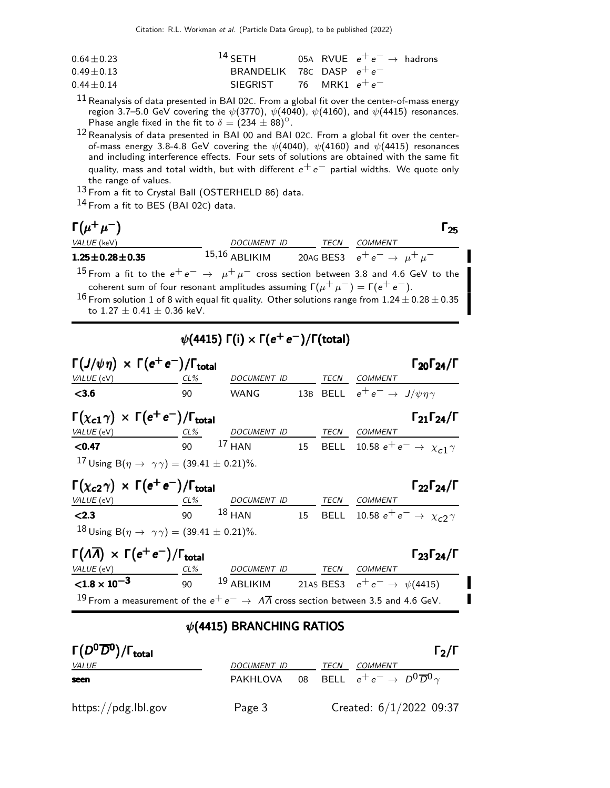Citation: R.L. Workman et al. (Particle Data Group), to be published (2022)

| $0.64 + 0.23$ | $^{14}$ SFTH                |  | 05A RVUE $e^+e^- \rightarrow$ hadrons |
|---------------|-----------------------------|--|---------------------------------------|
| $0.49 + 0.13$ | BRANDELIK 78C DASP $e^+e^-$ |  |                                       |
| $0.44 + 0.14$ | SIEGRIST 76 MRK1 $e^+e^-$   |  |                                       |

 $^{11}$  Reanalysis of data presented in BAI 02C. From a global fit over the center-of-mass energy region 3.7–5.0 GeV covering the  $\psi(3770)$ ,  $\psi(4040)$ ,  $\psi(4160)$ , and  $\psi(4415)$  resonances. Phase angle fixed in the fit to  $\delta = (234 \pm 88)^{\circ}$ .

12 Reanalysis of data presented in BAI 00 and BAI 02C. From a global fit over the centerof-mass energy 3.8-4.8 GeV covering the  $\psi$ (4040),  $\psi$ (4160) and  $\psi$ (4415) resonances and including interference effects. Four sets of solutions are obtained with the same fit quality, mass and total width, but with different  $e^+e^-$  partial widths. We quote only the range of values.

13 From a fit to Crystal Ball (OSTERHELD 86) data.

14 From a fit to BES (BAI 02C) data.

## $\Gamma(\mu^+\mu^-)$

| $\Gamma(\mu^+\mu^-)$                                                                                                                                                                                                                     |                 |      |                                           | 25 |
|------------------------------------------------------------------------------------------------------------------------------------------------------------------------------------------------------------------------------------------|-----------------|------|-------------------------------------------|----|
| VALUE (keV)                                                                                                                                                                                                                              | DOCUMENT ID     | TECN | COMMENT                                   |    |
| $1.25 \pm 0.28 \pm 0.35$                                                                                                                                                                                                                 | $15,16$ ABLIKIM |      | 20AG BES3 $e^+e^- \rightarrow \mu^+\mu^-$ |    |
| $15 -$<br>and the contract of the contract of the contract of the contract of the contract of the contract of the contract of the contract of the contract of the contract of the contract of the contract of the contract of the contra |                 |      | _ _ _ _ _ _ _ _                           |    |

 $^{15}$  From a fit to the  $e^+e^-\rightarrow~\mu^+\mu^-$  cross section between 3.8 and 4.6 GeV to the coherent sum of four resonant amplitudes assuming  $\Gamma(\mu^+ \mu^-) = \Gamma(e^+ e^-)$ .

 $^{16}$  From solution 1 of 8 with equal fit quality. Other solutions range from  $1.24\pm0.28\pm0.35$ to  $1.27 \pm 0.41 \pm 0.36$  keV.

# $\psi($ 4415) Γ(i)  $\times$  Γ( $e^+$   $e^-)$ /Γ(total)

| $\Gamma(J/\psi \eta) \times \Gamma(e^+e^-)/\Gamma_{\text{total}}$                                                                                                 |    |                                                            |             |                                                  | $\Gamma_{20}\Gamma_{24}/\Gamma$ |
|-------------------------------------------------------------------------------------------------------------------------------------------------------------------|----|------------------------------------------------------------|-------------|--------------------------------------------------|---------------------------------|
| VALUE (eV)                                                                                                                                                        |    | CL% DOCUMENT ID TECN COMMENT                               |             |                                                  |                                 |
| < 3.6                                                                                                                                                             | 90 | WANG                                                       |             | 13B BELL $e^+e^- \rightarrow J/\psi \eta \gamma$ |                                 |
| $\Gamma(\chi_{c1}\gamma) \times \Gamma(e^+e^-)/\Gamma_{\text{total}}$                                                                                             |    |                                                            |             |                                                  | $\Gamma_{21}\Gamma_{24}/\Gamma$ |
| VALUE (eV)                                                                                                                                                        |    | <u>CL% DOCUMENT ID</u>                                     |             | TECN COMMENT                                     |                                 |
| < 0.47                                                                                                                                                            | 90 | 17 HAN 15 BELL 10.58 $e^+e^- \rightarrow \chi_{c1} \gamma$ |             |                                                  |                                 |
| <sup>17</sup> Using B( $\eta \to \gamma \gamma$ ) = (39.41 ± 0.21)%.                                                                                              |    |                                                            |             |                                                  |                                 |
| $\Gamma(\chi_{c2}\gamma) \times \Gamma(e^+e^-)/\Gamma_{\text{total}}$                                                                                             |    |                                                            |             |                                                  | $\Gamma_{22}\Gamma_{24}/\Gamma$ |
| VALUE (eV) CL% DOCUMENT ID TECN COMMENT                                                                                                                           |    |                                                            |             |                                                  |                                 |
| < 2.3                                                                                                                                                             |    | 90 18 HAN 15 BELL 10.58 $e^+e^- \rightarrow \chi_c$ 2      |             |                                                  |                                 |
| 18 Using B( $\eta \to \gamma \gamma$ ) = (39.41 ± 0.21)%.                                                                                                         |    |                                                            |             |                                                  |                                 |
| $\Gamma(\Lambda \overline{\Lambda}) \times \Gamma(e^+e^-)/\Gamma_{\text{total}}$                                                                                  |    |                                                            |             |                                                  | $\Gamma_{23}\Gamma_{24}/\Gamma$ |
|                                                                                                                                                                   |    |                                                            |             |                                                  |                                 |
| $\frac{VALUE(eV)}{1.8 \times 10^{-3}}$ $\frac{CL\%}{90}$ $\frac{DOCUMENT ID}{ABLIKIM}$ $\frac{TECN}{21AS BES3}$ $\frac{COMMENT}{e^+e^-}$ $\rightarrow \psi(4415)$ |    |                                                            |             |                                                  |                                 |
| <sup>19</sup> From a measurement of the $e^+e^- \rightarrow \Lambda \overline{\Lambda}$ cross section between 3.5 and 4.6 GeV.                                    |    |                                                            |             |                                                  |                                 |
|                                                                                                                                                                   |    | $\psi$ (4415) BRANCHING RATIOS                             |             |                                                  |                                 |
| $\Gamma(D^0\overline{D}^0)/\Gamma_{\rm total}$                                                                                                                    |    |                                                            |             |                                                  | $\Gamma_2/\Gamma$               |
| <i>VALUE</i>                                                                                                                                                      |    | DOCUMENT ID                                                | <b>TECN</b> | <b>COMMENT</b>                                   |                                 |

seen PAKHLOVA 08 BELL  $e^+e^- \rightarrow D^0\overline{D}^0\gamma$ https://pdg.lbl.gov Page 3 Created: 6/1/2022 09:37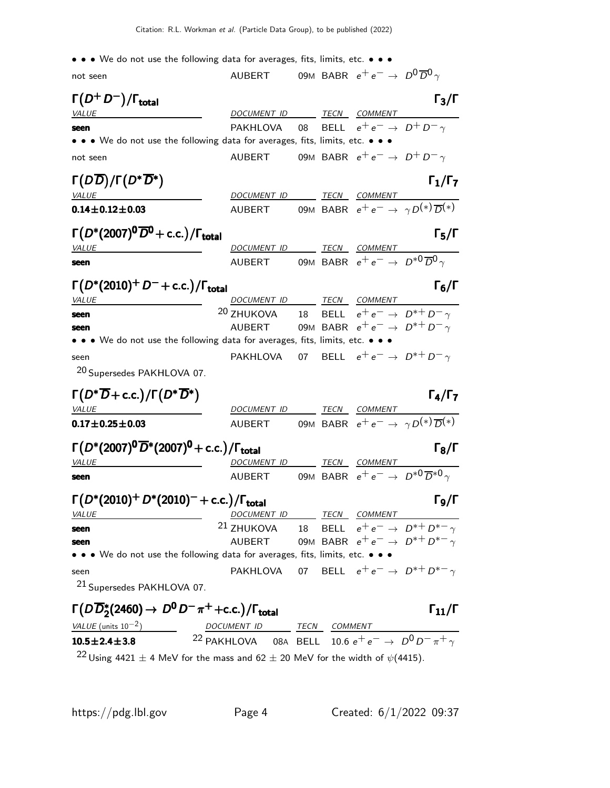|  |  |  |  |  |  |  |  |  | $\bullet \bullet \bullet$ We do not use the following data for averages, fits, limits, etc. $\bullet \bullet \bullet$ |  |  |  |  |  |  |
|--|--|--|--|--|--|--|--|--|-----------------------------------------------------------------------------------------------------------------------|--|--|--|--|--|--|
|--|--|--|--|--|--|--|--|--|-----------------------------------------------------------------------------------------------------------------------|--|--|--|--|--|--|

| not seen                                                                                | <b>AUBERT</b>                                                                      |  | 09M BABR $e^+e^- \rightarrow D^0\overline{D}^0\gamma$ |                                                                |
|-----------------------------------------------------------------------------------------|------------------------------------------------------------------------------------|--|-------------------------------------------------------|----------------------------------------------------------------|
| $\Gamma(D^+D^-)/\Gamma_{\rm total}$                                                     |                                                                                    |  |                                                       | $\Gamma_3/\Gamma$                                              |
| <b>VALUE</b>                                                                            | DOCUMENT ID TECN COMMENT                                                           |  |                                                       |                                                                |
| seen                                                                                    | PAKHLOVA                                                                           |  | 08 BELL $e^+e^- \rightarrow D^+D^-\gamma$             |                                                                |
| • • • We do not use the following data for averages, fits, limits, etc. • • •           |                                                                                    |  |                                                       |                                                                |
| not seen                                                                                | AUBERT 09M BABR $e^+e^- \rightarrow D^+D^-\gamma$                                  |  |                                                       |                                                                |
| $\Gamma(D\overline{D})/\Gamma(D^*\overline{D}^*)$                                       |                                                                                    |  |                                                       | $\Gamma_1/\Gamma_7$                                            |
| <b>VALUE</b>                                                                            | DOCUMENT ID TECN COMMENT                                                           |  |                                                       |                                                                |
| $0.14 \pm 0.12 \pm 0.03$                                                                | AUBERT                                                                             |  |                                                       | 09M BABR $e^+e^- \rightarrow \gamma D^{(*)}\overline{D}^{(*)}$ |
| $\Gamma(D^*(2007)^0\overline{D}^0 + c.c.)/\Gamma_{\text{total}}$                        |                                                                                    |  |                                                       | $\Gamma_5/\Gamma$                                              |
| <b>VALUE</b>                                                                            | DOCUMENT ID TECN COMMENT                                                           |  |                                                       |                                                                |
| seen                                                                                    | AUBERT 09M BABR $e^+e^- \rightarrow D^{*0}\overline{D}{}^0\gamma$                  |  |                                                       |                                                                |
| $\Gamma(D^*(2010)^+D^-+c.c.)/\Gamma_{\rm total}$                                        |                                                                                    |  |                                                       | $\Gamma_6/\Gamma$                                              |
| VALUE                                                                                   | DOCUMENT ID TECN COMMENT                                                           |  |                                                       |                                                                |
| seen                                                                                    | <sup>20</sup> ZHUKOVA                                                              |  |                                                       | 18 BELL $e^+e^- \rightarrow D^{*+}D^- \gamma$                  |
| seen                                                                                    | AUBERT                                                                             |  |                                                       | 09M BABR $e^+e^- \rightarrow D^{*+}D^- \gamma$                 |
| • • • We do not use the following data for averages, fits, limits, etc. • • •           |                                                                                    |  |                                                       |                                                                |
| seen                                                                                    | PAKHLOVA                                                                           |  |                                                       | 07 BELL $e^+e^- \rightarrow D^{*+}D^- \gamma$                  |
| <sup>20</sup> Supersedes PAKHLOVA 07.                                                   |                                                                                    |  |                                                       |                                                                |
| $\Gamma(D^*\overline{D} + \text{c.c.})/\Gamma(D^*\overline{D^*})$                       |                                                                                    |  |                                                       | $\Gamma_4/\Gamma_7$                                            |
| <b>VALUE</b>                                                                            | DOCUMENT ID                                                                        |  | TECN COMMENT                                          |                                                                |
| $0.17 \pm 0.25 \pm 0.03$                                                                | AUBERT                                                                             |  |                                                       | 09M BABR $e^+e^- \rightarrow \gamma D^{(*)}\overline{D}^{(*)}$ |
| $\Gamma(D^*(2007)^0\overline{D}^*(2007)^0$ + c.c.)/ $\Gamma_{\text{total}}$             |                                                                                    |  |                                                       | $\Gamma_8/\Gamma$                                              |
| <i>VALUE</i>                                                                            | DOCUMENT ID TECN COMMENT                                                           |  |                                                       |                                                                |
| seen                                                                                    | AUBERT                                                                             |  |                                                       | 09M BABR $e^+e^- \rightarrow D^{*0} \overline{D}^{*0} \gamma$  |
| $\Gamma(D^*(2010)^+ D^*(2010)^- + \text{c.c.})/\Gamma_{\text{total}}$                   |                                                                                    |  |                                                       | Го/Г                                                           |
| <i>VALUE</i>                                                                            | DOCUMENT ID                                                                        |  | TECN COMMENT                                          |                                                                |
| seen                                                                                    | <sup>21</sup> ZHUKOVA                                                              |  |                                                       | 18 BELL $e^+e^- \rightarrow D^{*+}D^{*-}\gamma$                |
| seen                                                                                    | AUBERT                                                                             |  |                                                       | 09M BABR $e^+e^- \rightarrow D^{*+}D^{*-}\gamma$               |
| • • • We do not use the following data for averages, fits, limits, etc. • • •           |                                                                                    |  |                                                       |                                                                |
|                                                                                         |                                                                                    |  |                                                       |                                                                |
| seen                                                                                    | PAKHLOVA 07 BELL $e^+e^- \rightarrow D^{*+}D^{*-} \gamma$                          |  |                                                       |                                                                |
| <sup>21</sup> Supersedes PAKHLOVA 07.                                                   |                                                                                    |  |                                                       |                                                                |
| $\Gamma(D\overline{D}_2^*(2460) \to D^0 D^- \pi^+ + \text{c.c.})/\Gamma_{\text{total}}$ |                                                                                    |  |                                                       | $\Gamma_{11}/\Gamma$                                           |
| VALUE (units $10^{-2}$ )                                                                |                                                                                    |  |                                                       |                                                                |
| $10.5 \pm 2.4 \pm 3.8$                                                                  | DOCUMENT ID<br>22 PAKHLOVA 08A BELL 10.6 $e^+e^- \rightarrow D^0 D^- \pi^+ \gamma$ |  |                                                       |                                                                |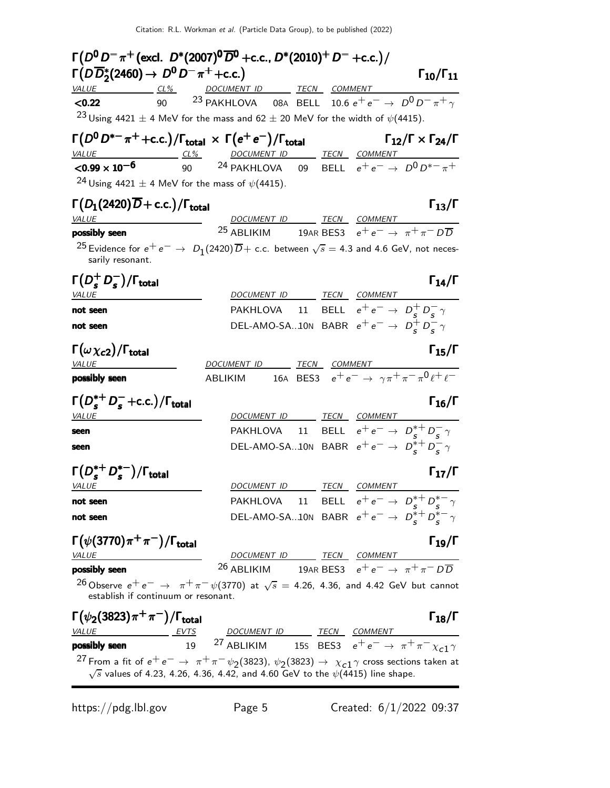| $\Gamma(D^0 D^-\pi^+$ (excl. $D^*(2007)^0\overline{D}^0$ +c.c., $D^*(2010)^+D^-$ +c.c.)/                                                                      |                                                                                                                         |  |                                                |
|---------------------------------------------------------------------------------------------------------------------------------------------------------------|-------------------------------------------------------------------------------------------------------------------------|--|------------------------------------------------|
| $\Gamma(D\overline{D}_2^*(2460) \to D^0 D^- \pi^+ + c.c.)$                                                                                                    |                                                                                                                         |  | $\Gamma_{10}/\Gamma_{11}$                      |
| VALUE CL <sup>%</sup> DOCUMENT ID TECN COMMENT<br>< 0.22                                                                                                      | 90 <sup>23</sup> PAKHLOVA 08A BELL 10.6 $e^+e^- \rightarrow D^0D^-\pi^+\gamma$                                          |  |                                                |
|                                                                                                                                                               |                                                                                                                         |  |                                                |
| <sup>23</sup> Using 4421 $\pm$ 4 MeV for the mass and 62 $\pm$ 20 MeV for the width of $\psi$ (4415).                                                         |                                                                                                                         |  |                                                |
| $\Gamma(D^0D^{*-}\pi^+$ +c.c.)/ $\Gamma_{\rm total}~\times~\Gamma(e^+e^-)/\Gamma_{\rm total}$                                                                 |                                                                                                                         |  | $\Gamma_{12}/\Gamma \times \Gamma_{24}/\Gamma$ |
| $\frac{VALUE}{0.99 \times 10^{-6}}$ $\frac{CL\%}{90}$ $\frac{DOCUMENT ID}{24}$ $\frac{TECN}{PELL}$ $\frac{COMMENT}{e^+ e^-}$ $\rightarrow$ $D^0 D^{*-} \pi^+$ |                                                                                                                         |  |                                                |
| <sup>24</sup> Using 4421 $\pm$ 4 MeV for the mass of $\psi$ (4415).                                                                                           |                                                                                                                         |  |                                                |
|                                                                                                                                                               |                                                                                                                         |  |                                                |
| $\Gamma(D_1(2420)\overline{D}+c.c.)/\Gamma_{\rm total}$                                                                                                       |                                                                                                                         |  | $\Gamma_{13}/\Gamma$                           |
| <b>VALUE</b><br><b>seen</b> 25 <u>DOCUMENT ID TECN</u> COMMENT<br>25 ABLIKIM 19AR BES3 $e^+e^- \rightarrow \pi^+\pi^-D\overline{D}$<br>possibly seen          | DOCUMENT ID TECN COMMENT                                                                                                |  |                                                |
|                                                                                                                                                               |                                                                                                                         |  |                                                |
| <sup>25</sup> Evidence for $e^+e^ \rightarrow$ $D_1(2420)\overline{D}$ + c.c. between $\sqrt{s}$ = 4.3 and 4.6 GeV, not neces-<br>sarily resonant.            |                                                                                                                         |  |                                                |
| $\Gamma(D_s^+D_s^-)/\Gamma_{\rm total}$                                                                                                                       |                                                                                                                         |  | $\Gamma_{14}/\Gamma$                           |
| VALUE                                                                                                                                                         | DOCUMENT ID TECN COMMENT                                                                                                |  |                                                |
| not seen                                                                                                                                                      | PAKHLOVA 11 BELL $e^+e^- \rightarrow D_c^+D_c^- \gamma$                                                                 |  |                                                |
| not seen                                                                                                                                                      | DEL-AMO-SA10N BABR $e^+e^- \rightarrow D_s^+D_s^- \gamma$                                                               |  |                                                |
|                                                                                                                                                               |                                                                                                                         |  |                                                |
| $\Gamma(\omega \chi_{c2})/\Gamma_{\rm total}$                                                                                                                 |                                                                                                                         |  | $\Gamma_{15}/\Gamma$                           |
| <b>VALUE</b><br>possibly seen                                                                                                                                 | DOCUMENT ID TECN COMMENT<br>ABLIKIM 16A BES3 $e^+e^- \rightarrow \gamma \pi^+ \pi^- \pi^0 \ell^+ \ell^-$                |  |                                                |
|                                                                                                                                                               |                                                                                                                         |  |                                                |
| $\Gamma(D_{\epsilon}^{*+}D_{\epsilon}^-+c.c.)/\Gamma_{\text{total}}$                                                                                          |                                                                                                                         |  | $\Gamma_{16}/\Gamma$                           |
| <i>VALUE</i>                                                                                                                                                  | DOCUMENT ID TECN COMMENT                                                                                                |  |                                                |
| seen                                                                                                                                                          | PAKHLOVA 11 BELL $e^+e^- \rightarrow D_c^{*+}D_c^-\gamma$                                                               |  |                                                |
| seen                                                                                                                                                          | DEL-AMO-SA10N BABR $e^+e^- \rightarrow D_s^{*+}D_s^- \gamma$                                                            |  |                                                |
|                                                                                                                                                               |                                                                                                                         |  |                                                |
| $\Gamma(D_s^{*+}D_s^{*-})/\Gamma_{\rm total}$                                                                                                                 |                                                                                                                         |  | $\Gamma_{17}/\Gamma$                           |
| <i>VALUE</i>                                                                                                                                                  | DOCUMENT ID TECN COMMENT<br>PAKHLOVA 11 BELL $e^+e^- \rightarrow D_s^{*+}D_s^{*-} \gamma$                               |  |                                                |
| not seen                                                                                                                                                      | DEL-AMO-SA10N BABR $e^+e^- \rightarrow D_s^{*+}D_s^{*-} \gamma$                                                         |  |                                                |
| not seen                                                                                                                                                      |                                                                                                                         |  |                                                |
| $\Gamma(\psi(3770)\pi^+\pi^-)/\Gamma_{\rm total}$                                                                                                             |                                                                                                                         |  | $\Gamma_{19}/\Gamma$                           |
| VALUE                                                                                                                                                         | $\frac{DOCUMENT \quad ID}{ABLIKIM} \quad \frac{TECN}{19AR \quad BES3} \quad e^+e^- \rightarrow \pi^+\pi^-D\overline{D}$ |  |                                                |
| possibly seen                                                                                                                                                 |                                                                                                                         |  |                                                |
| <sup>26</sup> Observe $e^+e^- \to \pi^+\pi^-\psi(3770)$ at $\sqrt{s} = 4.26$ , 4.36, and 4.42 GeV but cannot<br>establish if continuum or resonant.           |                                                                                                                         |  |                                                |
| $\Gamma(\psi_2(3823)\pi^+\pi^-)/\Gamma_{\rm total}$                                                                                                           |                                                                                                                         |  | $\Gamma_{18}/\Gamma$                           |
|                                                                                                                                                               |                                                                                                                         |  |                                                |
| <u>VALUE</u> EVTS DOCUMENT ID TECN COMMENT<br><b>possibly seen</b> 19 <sup>27</sup> ABLIKIM 155 BES3 $e^+e^- \rightarrow \pi^+\pi^-\chi_{c1}\gamma$           |                                                                                                                         |  |                                                |
| <sup>27</sup> From a fit of $e^+e^-\to \pi^+\pi^-\psi_2$ (3823), $\psi_2$ (3823) $\to \chi_{c1}\gamma$ cross sections taken at                                |                                                                                                                         |  |                                                |
| $\sqrt{s}$ values of 4.23, 4.26, 4.36, 4.42, and 4.60 GeV to the $\psi$ (4415) line shape.                                                                    |                                                                                                                         |  |                                                |

 $\mathbf{z}$ 

https://pdg.lbl.gov Page 5 Created: 6/1/2022 09:37